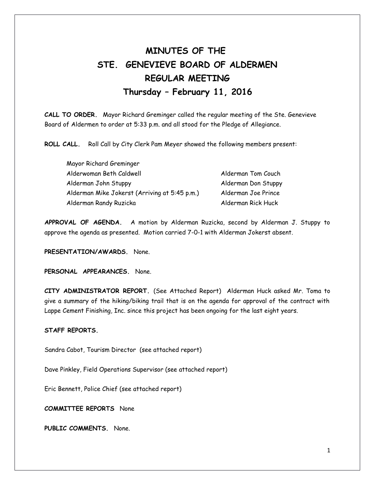# **MINUTES OF THE STE. GENEVIEVE BOARD OF ALDERMEN REGULAR MEETING Thursday – February 11, 2016**

**CALL TO ORDER.** Mayor Richard Greminger called the regular meeting of the Ste. Genevieve Board of Aldermen to order at 5:33 p.m. and all stood for the Pledge of Allegiance.

**ROLL CALL.** Roll Call by City Clerk Pam Meyer showed the following members present:

| Mayor Richard Greminger                       |                     |
|-----------------------------------------------|---------------------|
| Alderwoman Beth Caldwell                      | Alderman Tom Couch  |
| Alderman John Stuppy                          | Alderman Don Stuppy |
| Alderman Mike Jokerst (Arriving at 5:45 p.m.) | Alderman Joe Prince |
| Alderman Randy Ruzicka                        | Alderman Rick Huck  |

**APPROVAL OF AGENDA.** A motion by Alderman Ruzicka, second by Alderman J. Stuppy to approve the agenda as presented. Motion carried 7-0-1 with Alderman Jokerst absent.

**PRESENTATION/AWARDS.** None.

**PERSONAL APPEARANCES.** None.

**CITY ADMINISTRATOR REPORT.** (See Attached Report) Alderman Huck asked Mr. Toma to give a summary of the hiking/biking trail that is on the agenda for approval of the contract with Lappe Cement Finishing, Inc. since this project has been ongoing for the last eight years.

## **STAFF REPORTS.**

Sandra Cabot, Tourism Director (see attached report)

Dave Pinkley, Field Operations Supervisor (see attached report)

Eric Bennett, Police Chief (see attached report)

**COMMITTEE REPORTS** None

**PUBLIC COMMENTS.** None.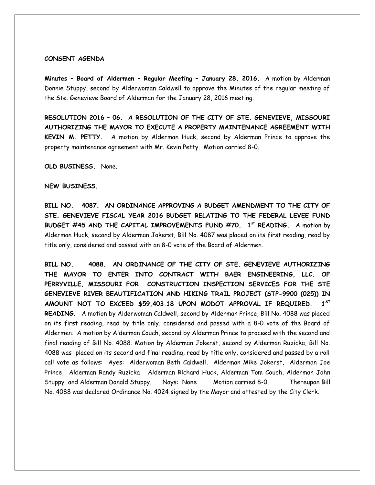#### **CONSENT AGENDA**

**Minutes – Board of Aldermen – Regular Meeting – January 28, 2016.** A motion by Alderman Donnie Stuppy, second by Alderwoman Caldwell to approve the Minutes of the regular meeting of the Ste. Genevieve Board of Alderman for the January 28, 2016 meeting.

**RESOLUTION 2016 – 06. A RESOLUTION OF THE CITY OF STE. GENEVIEVE, MISSOURI AUTHORIZING THE MAYOR TO EXECUTE A PROPERTY MAINTENANCE AGREEMENT WITH KEVIN M. PETTY.** A motion by Alderman Huck, second by Alderman Prince to approve the property maintenance agreement with Mr. Kevin Petty. Motion carried 8-0.

**OLD BUSINESS.** None.

#### **NEW BUSINESS.**

**BILL NO. 4087. AN ORDINANCE APPROVING A BUDGET AMENDMENT TO THE CITY OF STE. GENEVIEVE FISCAL YEAR 2016 BUDGET RELATING TO THE FEDERAL LEVEE FUND BUDGET #45 AND THE CAPITAL IMPROVEMENTS FUND #70. 1st READING.** A motion by Alderman Huck, second by Alderman Jokerst, Bill No. 4087 was placed on its first reading, read by title only, considered and passed with an 8-0 vote of the Board of Aldermen.

**BILL NO. 4088. AN ORDINANCE OF THE CITY OF STE. GENEVIEVE AUTHORIZING THE MAYOR TO ENTER INTO CONTRACT WITH BAER ENGINEERING, LLC. OF PERRYVILLE, MISSOURI FOR CONSTRUCTION INSPECTION SERVICES FOR THE STE GENEVIEVE RIVER BEAUTIFICATION AND HIKING TRAIL PROJECT (STP-9900 (025)) IN AMOUNT NOT TO EXCEED \$59,403.18 UPON MODOT APPROVAL IF REQUIRED. 1ST READING.** A motion by Alderwoman Caldwell, second by Alderman Prince, Bill No. 4088 was placed on its first reading, read by title only, considered and passed with a 8-0 vote of the Board of Aldermen. A motion by Alderman Couch, second by Alderman Prince to proceed with the second and final reading of Bill No. 4088. Motion by Alderman Jokerst, second by Alderman Ruzicka, Bill No. 4088 was placed on its second and final reading, read by title only, considered and passed by a roll call vote as follows: Ayes: Alderwoman Beth Caldwell, Alderman Mike Jokerst, Alderman Joe Prince, Alderman Randy Ruzicka Alderman Richard Huck, Alderman Tom Couch, Alderman John Stuppy and Alderman Donald Stuppy. Nays: None Motion carried 8-0. Thereupon Bill No. 4088 was declared Ordinance No. 4024 signed by the Mayor and attested by the City Clerk.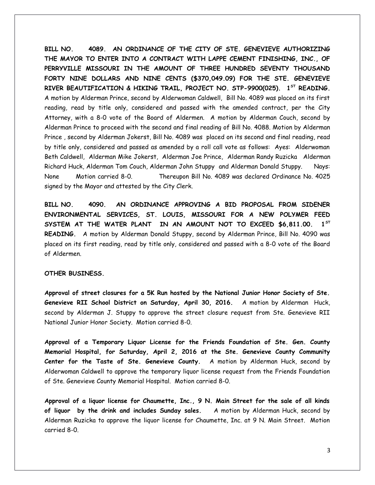**BILL NO. 4089. AN ORDINANCE OF THE CITY OF STE. GENEVIEVE AUTHORIZING THE MAYOR TO ENTER INTO A CONTRACT WITH LAPPE CEMENT FINISHING, INC., OF PERRYVILLE MISSOURI IN THE AMOUNT OF THREE HUNDRED SEVENTY THOUSAND FORTY NINE DOLLARS AND NINE CENTS (\$370,049.09) FOR THE STE. GENEVIEVE RIVER BEAUTIFICATION & HIKING TRAIL, PROJECT NO. STP-9900(025). 1ST READING.** A motion by Alderman Prince, second by Alderwoman Caldwell, Bill No. 4089 was placed on its first reading, read by title only, considered and passed with the amended contract, per the City Attorney, with a 8-0 vote of the Board of Aldermen. A motion by Alderman Couch, second by Alderman Prince to proceed with the second and final reading of Bill No. 4088. Motion by Alderman Prince , second by Alderman Jokerst, Bill No. 4089 was placed on its second and final reading, read by title only, considered and passed as amended by a roll call vote as follows: Ayes: Alderwoman Beth Caldwell, Alderman Mike Jokerst, Alderman Joe Prince, Alderman Randy Ruzicka Alderman Richard Huck, Alderman Tom Couch, Alderman John Stuppy and Alderman Donald Stuppy. Nays: None Motion carried 8-0. Thereupon Bill No. 4089 was declared Ordinance No. 4025 signed by the Mayor and attested by the City Clerk.

**BILL NO. 4090. AN ORDINANCE APPROVING A BID PROPOSAL FROM SIDENER ENVIRONMENTAL SERVICES, ST. LOUIS, MISSOURI FOR A NEW POLYMER FEED SYSTEM AT THE WATER PLANT IN AN AMOUNT NOT TO EXCEED \$6,811.00. 1ST READING.** A motion by Alderman Donald Stuppy, second by Alderman Prince, Bill No. 4090 was placed on its first reading, read by title only, considered and passed with a 8-0 vote of the Board of Aldermen.

### **OTHER BUSINESS.**

**Approval of street closures for a 5K Run hosted by the National Junior Honor Society of Ste. Genevieve RII School District on Saturday, April 30, 2016.** A motion by Alderman Huck, second by Alderman J. Stuppy to approve the street closure request from Ste. Genevieve RII National Junior Honor Society. Motion carried 8-0.

**Approval of a Temporary Liquor License for the Friends Foundation of Ste. Gen. County Memorial Hospital, for Saturday, April 2, 2016 at the Ste. Genevieve County Community Center for the Taste of Ste. Genevieve County.** A motion by Alderman Huck, second by Alderwoman Caldwell to approve the temporary liquor license request from the Friends Foundation of Ste. Genevieve County Memorial Hospital. Motion carried 8-0.

**Approval of a liquor license for Chaumette, Inc., 9 N. Main Street for the sale of all kinds of liquor by the drink and includes Sunday sales.** A motion by Alderman Huck, second by Alderman Ruzicka to approve the liquor license for Chaumette, Inc. at 9 N. Main Street. Motion carried 8-0.